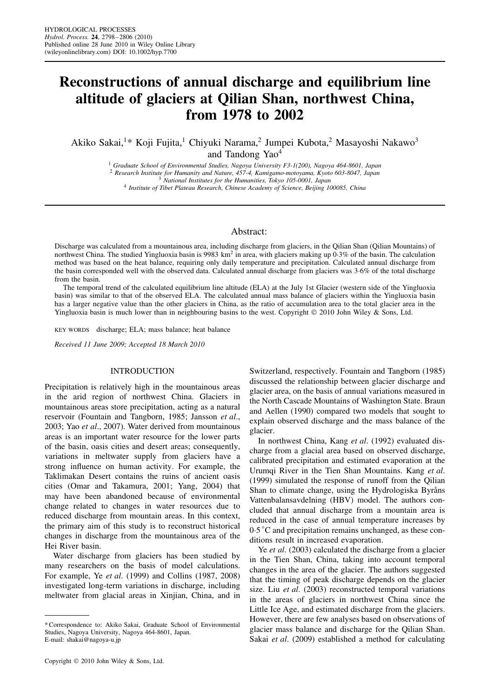# **Reconstructions of annual discharge and equilibrium line altitude of glaciers at Qilian Shan, northwest China, from 1978 to 2002**

Akiko Sakai,<sup>1\*</sup> Koji Fujita,<sup>1</sup> Chiyuki Narama,<sup>2</sup> Jumpei Kubota,<sup>2</sup> Masayoshi Nakawo<sup>3</sup> and Tandong Yao<sup>4</sup>

<sup>1</sup> Graduate School of Environmental Studies, Nagoya University F3-1(200), Nagoya 464-8601, Japan<sup>2</sup> Research Institute for Humanity and Nature, 457-4, Kamigamo-motoyama, Kyoto 603-8047, Japan<sup>3</sup> National Institutes for t

# Abstract:

Discharge was calculated from a mountainous area, including discharge from glaciers, in the Qilian Shan (Qilian Mountains) of northwest China. The studied Yingluoxia basin is 9983 km<sup>2</sup> in area, with glaciers making up  $0.3\%$  of the basin. The calculation method was based on the heat balance, requiring only daily temperature and precipitation. Calculated annual discharge from the basin corresponded well with the observed data. Calculated annual discharge from glaciers was 3Ð6% of the total discharge from the basin.

The temporal trend of the calculated equilibrium line altitude (ELA) at the July 1st Glacier (western side of the Yingluoxia basin) was similar to that of the observed ELA. The calculated annual mass balance of glaciers within the Yingluoxia basin has a larger negative value than the other glaciers in China, as the ratio of accumulation area to the total glacier area in the Yingluoxia basin is much lower than in neighbouring basins to the west. Copyright © 2010 John Wiley & Sons, Ltd.

KEY WORDS discharge; ELA; mass balance; heat balance

*Received 11 June 2009; Accepted 18 March 2010*

#### INTRODUCTION

Precipitation is relatively high in the mountainous areas in the arid region of northwest China. Glaciers in mountainous areas store precipitation, acting as a natural reservoir (Fountain and Tangborn, 1985; Jansson *et al*., 2003; Yao *et al*., 2007). Water derived from mountainous areas is an important water resource for the lower parts of the basin, oasis cities and desert areas; consequently, variations in meltwater supply from glaciers have a strong influence on human activity. For example, the Taklimakan Desert contains the ruins of ancient oasis cities (Omar and Takamura, 2001; Yang, 2004) that may have been abandoned because of environmental change related to changes in water resources due to reduced discharge from mountain areas. In this context, the primary aim of this study is to reconstruct historical changes in discharge from the mountainous area of the Hei River basin.

Water discharge from glaciers has been studied by many researchers on the basis of model calculations. For example, Ye *et al*. (1999) and Collins (1987, 2008) investigated long-term variations in discharge, including meltwater from glacial areas in Xinjian, China, and in

Switzerland, respectively. Fountain and Tangborn (1985) discussed the relationship between glacier discharge and glacier area, on the basis of annual variations measured in the North Cascade Mountains of Washington State. Braun and Aellen (1990) compared two models that sought to explain observed discharge and the mass balance of the glacier.

In northwest China, Kang *et al*. (1992) evaluated discharge from a glacial area based on observed discharge, calibrated precipitation and estimated evaporation at the Urumqi River in the Tien Shan Mountains. Kang *et al*. (1999) simulated the response of runoff from the Qilian Shan to climate change, using the Hydrologiska Byråns Vattenbalansavdelning (HBV) model. The authors concluded that annual discharge from a mountain area is reduced in the case of annual temperature increases by 0.5 °C and precipitation remains unchanged, as these conditions result in increased evaporation.

Ye *et al*. (2003) calculated the discharge from a glacier in the Tien Shan, China, taking into account temporal changes in the area of the glacier. The authors suggested that the timing of peak discharge depends on the glacier size. Liu *et al*. (2003) reconstructed temporal variations in the areas of glaciers in northwest China since the Little Ice Age, and estimated discharge from the glaciers. However, there are few analyses based on observations of glacier mass balance and discharge for the Qilian Shan. Sakai *et al*. (2009) established a method for calculating

<sup>\*</sup> Correspondence to: Akiko Sakai, Graduate School of Environmental Studies, Nagoya University, Nagoya 464-8601, Japan. E-mail: shakai@nagoya-u.jp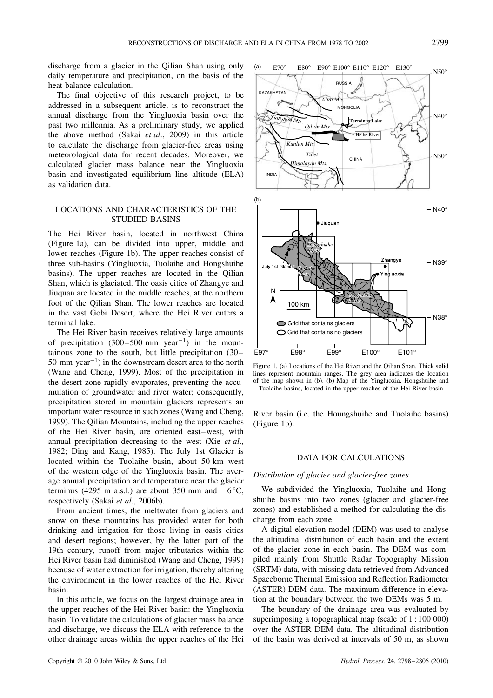discharge from a glacier in the Qilian Shan using only daily temperature and precipitation, on the basis of the heat balance calculation.

The final objective of this research project, to be addressed in a subsequent article, is to reconstruct the annual discharge from the Yingluoxia basin over the past two millennia. As a preliminary study, we applied the above method (Sakai *et al*., 2009) in this article to calculate the discharge from glacier-free areas using meteorological data for recent decades. Moreover, we calculated glacier mass balance near the Yingluoxia basin and investigated equilibrium line altitude (ELA) as validation data.

# LOCATIONS AND CHARACTERISTICS OF THE STUDIED BASINS

The Hei River basin, located in northwest China (Figure 1a), can be divided into upper, middle and lower reaches (Figure 1b). The upper reaches consist of three sub-basins (Yingluoxia, Tuolaihe and Hongshuihe basins). The upper reaches are located in the Qilian Shan, which is glaciated. The oasis cities of Zhangye and Jiuquan are located in the middle reaches, at the northern foot of the Qilian Shan. The lower reaches are located in the vast Gobi Desert, where the Hei River enters a terminal lake.

The Hei River basin receives relatively large amounts of precipitation  $(300-500 \text{ mm} \text{ year}^{-1})$  in the mountainous zone to the south, but little precipitation (30– 50 mm year<sup>-1</sup>) in the downstream desert area to the north (Wang and Cheng, 1999). Most of the precipitation in the desert zone rapidly evaporates, preventing the accumulation of groundwater and river water; consequently, precipitation stored in mountain glaciers represents an important water resource in such zones (Wang and Cheng, 1999). The Qilian Mountains, including the upper reaches of the Hei River basin, are oriented east–west, with annual precipitation decreasing to the west (Xie *et al*., 1982; Ding and Kang, 1985). The July 1st Glacier is located within the Tuolaihe basin, about 50 km west of the western edge of the Yingluoxia basin. The average annual precipitation and temperature near the glacier terminus (4295 m a.s.l.) are about 350 mm and  $-6^{\circ}$ C, respectively (Sakai *et al*., 2006b).

From ancient times, the meltwater from glaciers and snow on these mountains has provided water for both drinking and irrigation for those living in oasis cities and desert regions; however, by the latter part of the 19th century, runoff from major tributaries within the Hei River basin had diminished (Wang and Cheng, 1999) because of water extraction for irrigation, thereby altering the environment in the lower reaches of the Hei River basin.

In this article, we focus on the largest drainage area in the upper reaches of the Hei River basin: the Yingluoxia basin. To validate the calculations of glacier mass balance and discharge, we discuss the ELA with reference to the other drainage areas within the upper reaches of the Hei



Figure 1. (a) Locations of the Hei River and the Qilian Shan. Thick solid lines represent mountain ranges. The grey area indicates the location of the map shown in (b). (b) Map of the Yingluoxia, Hongshuihe and Tuolaihe basins, located in the upper reaches of the Hei River basin

River basin (i.e. the Houngshuihe and Tuolaihe basins) (Figure 1b).

### DATA FOR CALCULATIONS

#### *Distribution of glacier and glacier-free zones*

We subdivided the Yingluoxia, Tuolaihe and Hongshuihe basins into two zones (glacier and glacier-free zones) and established a method for calculating the discharge from each zone.

A digital elevation model (DEM) was used to analyse the altitudinal distribution of each basin and the extent of the glacier zone in each basin. The DEM was compiled mainly from Shuttle Radar Topography Mission (SRTM) data, with missing data retrieved from Advanced Spaceborne Thermal Emission and Reflection Radiometer (ASTER) DEM data. The maximum difference in elevation at the boundary between the two DEMs was 5 m.

The boundary of the drainage area was evaluated by superimposing a topographical map (scale of 1:100 000) over the ASTER DEM data. The altitudinal distribution of the basin was derived at intervals of 50 m, as shown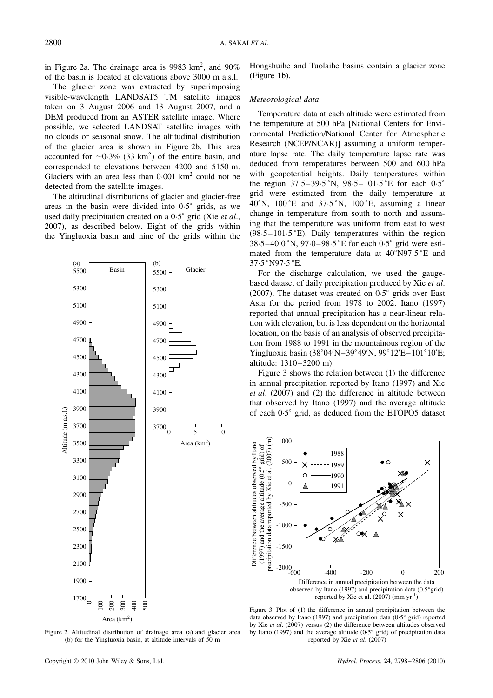in Figure 2a. The drainage area is 9983 km<sup>2</sup>, and 90% of the basin is located at elevations above 3000 m a.s.l.

The glacier zone was extracted by superimposing visible-wavelength LANDSAT5 TM satellite images taken on 3 August 2006 and 13 August 2007, and a DEM produced from an ASTER satellite image. Where possible, we selected LANDSAT satellite images with no clouds or seasonal snow. The altitudinal distribution of the glacier area is shown in Figure 2b. This area accounted for  $\sim 0.3\%$  (33 km<sup>2</sup>) of the entire basin, and corresponded to elevations between 4200 and 5150 m. Glaciers with an area less than  $0.001 \text{ km}^2$  could not be detected from the satellite images.

The altitudinal distributions of glacier and glacier-free areas in the basin were divided into  $0.5^{\circ}$  grids, as we used daily precipitation created on a 0Ð5° grid (Xie *et al*., 2007), as described below. Eight of the grids within the Yingluoxia basin and nine of the grids within the



Figure 2. Altitudinal distribution of drainage area (a) and glacier area (b) for the Yingluoxia basin, at altitude intervals of 50 m

Hongshuihe and Tuolaihe basins contain a glacier zone (Figure 1b).

### *Meteorological data*

Temperature data at each altitude were estimated from the temperature at 500 hPa [National Centers for Environmental Prediction/National Center for Atmospheric Research (NCEP/NCAR)] assuming a uniform temperature lapse rate. The daily temperature lapse rate was deduced from temperatures between 500 and 600 hPa with geopotential heights. Daily temperatures within the region  $37.5-39.5^{\circ}$ N,  $98.5-101.5^{\circ}$ E for each  $0.5^{\circ}$ grid were estimated from the daily temperature at 40°N, 100°E and 37.5°N, 100°E, assuming a linear change in temperature from south to north and assuming that the temperature was uniform from east to west  $(98.5-101.5 \text{°E})$ . Daily temperatures within the region 38 $-5-40.0\degree N$ , 97 $-0-98.5\degree E$  for each  $0.5\degree$  grid were estimated from the temperature data at  $40^{\circ}$ N97 $\cdot$ 5 $^{\circ}$ E and 37.5°N97.5°E.

For the discharge calculation, we used the gaugebased dataset of daily precipitation produced by Xie *et al*. (2007). The dataset was created on  $0.5^{\circ}$  grids over East Asia for the period from 1978 to 2002. Itano (1997) reported that annual precipitation has a near-linear relation with elevation, but is less dependent on the horizontal location, on the basis of an analysis of observed precipitation from 1988 to 1991 in the mountainous region of the Yingluoxia basin (38°04'N-39°49'N, 99°12'E-101°10'E; altitude: 1310–3200 m).

Figure 3 shows the relation between (1) the difference in annual precipitation reported by Itano (1997) and Xie *et al*. (2007) and (2) the difference in altitude between that observed by Itano (1997) and the average altitude of each  $0.5^\circ$  grid, as deduced from the ETOPO5 dataset



Figure 3. Plot of (1) the difference in annual precipitation between the data observed by Itano (1997) and precipitation data ( $0.5^{\circ}$  grid) reported by Xie *et al*. (2007) versus (2) the difference between altitudes observed by Itano (1997) and the average altitude ( $0.5^{\circ}$  grid) of precipitation data reported by Xie *et al*. (2007)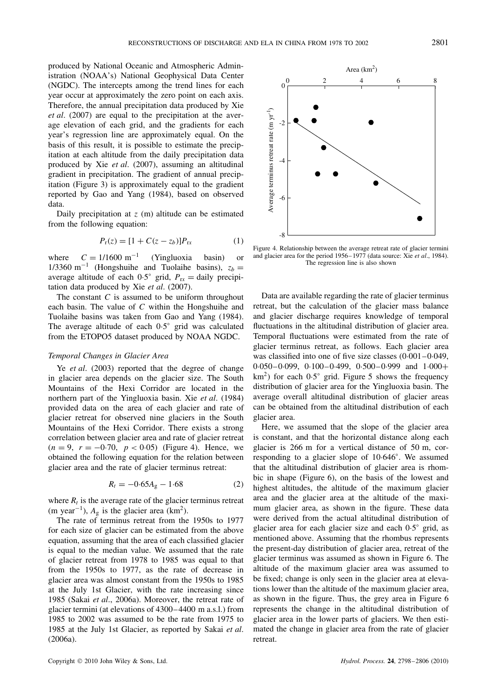produced by National Oceanic and Atmospheric Administration (NOAA's) National Geophysical Data Center (NGDC). The intercepts among the trend lines for each year occur at approximately the zero point on each axis. Therefore, the annual precipitation data produced by Xie *et al*. (2007) are equal to the precipitation at the average elevation of each grid, and the gradients for each year's regression line are approximately equal. On the basis of this result, it is possible to estimate the precipitation at each altitude from the daily precipitation data produced by Xie *et al*. (2007), assuming an altitudinal gradient in precipitation. The gradient of annual precipitation (Figure 3) is approximately equal to the gradient reported by Gao and Yang (1984), based on observed data.

Daily precipitation at  $\zeta$  (m) altitude can be estimated from the following equation:

$$
P_{r}(z) = [1 + C(z - z_b)]P_{rx}
$$
 (1)

where  $C = 1/1600 \text{ m}^{-1}$  (Yingluoxia basin) or  $1/3360$  m<sup>-1</sup> (Hongshuihe and Tuolaihe basins),  $z_b =$ average altitude of each 0.5° grid,  $P_{rx}$  = daily precipitation data produced by Xie *et al*. (2007).

The constant  $C$  is assumed to be uniform throughout each basin. The value of  $C$  within the Hongshuihe and Tuolaihe basins was taken from Gao and Yang (1984). The average altitude of each  $0.5^\circ$  grid was calculated from the ETOPO5 dataset produced by NOAA NGDC.

#### *Temporal Changes in Glacier Area*

Ye *et al*. (2003) reported that the degree of change in glacier area depends on the glacier size. The South Mountains of the Hexi Corridor are located in the northern part of the Yingluoxia basin. Xie *et al*. (1984) provided data on the area of each glacier and rate of glacier retreat for observed nine glaciers in the South Mountains of the Hexi Corridor. There exists a strong correlation between glacier area and rate of glacier retreat  $(n = 9, r = -0.70, p < 0.05)$  (Figure 4). Hence, we obtained the following equation for the relation between glacier area and the rate of glacier terminus retreat:

$$
R_t = -0.65A_g - 1.68\tag{2}
$$

where  $R_t$  is the average rate of the glacier terminus retreat (m year<sup>-1</sup>),  $A_g$  is the glacier area (km<sup>2</sup>).

The rate of terminus retreat from the 1950s to 1977 for each size of glacier can be estimated from the above equation, assuming that the area of each classified glacier is equal to the median value. We assumed that the rate of glacier retreat from 1978 to 1985 was equal to that from the 1950s to 1977, as the rate of decrease in glacier area was almost constant from the 1950s to 1985 at the July 1st Glacier, with the rate increasing since 1985 (Sakai *et al*., 2006a). Moreover, the retreat rate of glacier termini (at elevations of 4300–4400 m a.s.l.) from 1985 to 2002 was assumed to be the rate from 1975 to 1985 at the July 1st Glacier, as reported by Sakai *et al*. (2006a).



Figure 4. Relationship between the average retreat rate of glacier termini and glacier area for the period 1956–1977 (data source: Xie *et al*., 1984). The regression line is also shown

Data are available regarding the rate of glacier terminus retreat, but the calculation of the glacier mass balance and glacier discharge requires knowledge of temporal fluctuations in the altitudinal distribution of glacier area. Temporal fluctuations were estimated from the rate of glacier terminus retreat, as follows. Each glacier area was classified into one of five size classes  $(0.001-0.049, ...)$  $0.050 - 0.099$ ,  $0.100 - 0.499$ ,  $0.500 - 0.999$  and  $1.000 +$  $km<sup>2</sup>$ ) for each 0.5° grid. Figure 5 shows the frequency distribution of glacier area for the Yingluoxia basin. The average overall altitudinal distribution of glacier areas can be obtained from the altitudinal distribution of each glacier area.

Here, we assumed that the slope of the glacier area is constant, and that the horizontal distance along each glacier is 266 m for a vertical distance of 50 m, corresponding to a glacier slope of 10 $-646^{\circ}$ . We assumed that the altitudinal distribution of glacier area is rhombic in shape (Figure 6), on the basis of the lowest and highest altitudes, the altitude of the maximum glacier area and the glacier area at the altitude of the maximum glacier area, as shown in the figure. These data were derived from the actual altitudinal distribution of glacier area for each glacier size and each 0.5° grid, as mentioned above. Assuming that the rhombus represents the present-day distribution of glacier area, retreat of the glacier terminus was assumed as shown in Figure 6. The altitude of the maximum glacier area was assumed to be fixed; change is only seen in the glacier area at elevations lower than the altitude of the maximum glacier area, as shown in the figure. Thus, the grey area in Figure 6 represents the change in the altitudinal distribution of glacier area in the lower parts of glaciers. We then estimated the change in glacier area from the rate of glacier retreat.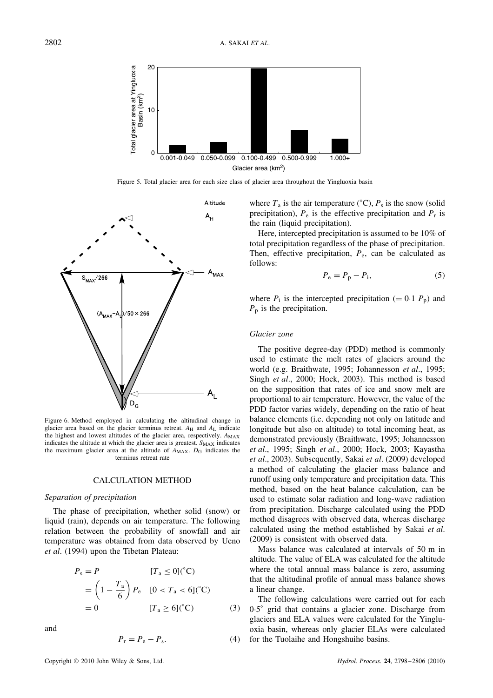

Figure 5. Total glacier area for each size class of glacier area throughout the Yingluoxia basin



Figure 6. Method employed in calculating the altitudinal change in glacier area based on the glacier terminus retreat.  $A_H$  and  $A_L$  indicate the highest and lowest altitudes of the glacier area, respectively.  $A_{MAX}$ indicates the altitude at which the glacier area is greatest.  $S_{MAX}$  indicates the maximum glacier area at the altitude of  $A_{MAX}$ .  $D_G$  indicates the terminus retreat rate

#### CALCULATION METHOD

#### *Separation of precipitation*

The phase of precipitation, whether solid (snow) or liquid (rain), depends on air temperature. The following relation between the probability of snowfall and air temperature was obtained from data observed by Ueno *et al*. (1994) upon the Tibetan Plateau:

$$
P_s = P \qquad [T_a \le 0]({}^{\circ}C)
$$
  
=  $\left(1 - \frac{T_a}{6}\right)P_e \quad [0 < T_a < 6]({}^{\circ}C)$   
= 0 \qquad [T\_a \ge 6]({}^{\circ}C) \qquad (3)

and

$$
P_{\rm r} = P_{\rm e} - P_{\rm s}.\tag{4}
$$

where  $T_a$  is the air temperature (°C),  $P_s$  is the snow (solid precipitation),  $P_e$  is the effective precipitation and  $P_r$  is the rain (liquid precipitation).

Here, intercepted precipitation is assumed to be 10% of total precipitation regardless of the phase of precipitation. Then, effective precipitation,  $P_e$ , can be calculated as follows:

$$
P_e = P_p - P_i,\tag{5}
$$

where  $P_i$  is the intercepted precipitation (= 0.1  $P_p$ ) and  $P<sub>p</sub>$  is the precipitation.

#### *Glacier zone*

The positive degree-day (PDD) method is commonly used to estimate the melt rates of glaciers around the world (e.g. Braithwate, 1995; Johannesson *et al*., 1995; Singh *et al*., 2000; Hock, 2003). This method is based on the supposition that rates of ice and snow melt are proportional to air temperature. However, the value of the PDD factor varies widely, depending on the ratio of heat balance elements (i.e. depending not only on latitude and longitude but also on altitude) to total incoming heat, as demonstrated previously (Braithwate, 1995; Johannesson *et al*., 1995; Singh *et al*., 2000; Hock, 2003; Kayastha *et al*., 2003). Subsequently, Sakai *et al*. (2009) developed a method of calculating the glacier mass balance and runoff using only temperature and precipitation data. This method, based on the heat balance calculation, can be used to estimate solar radiation and long-wave radiation from precipitation. Discharge calculated using the PDD method disagrees with observed data, whereas discharge calculated using the method established by Sakai *et al*. (2009) is consistent with observed data.

Mass balance was calculated at intervals of 50 m in altitude. The value of ELA was calculated for the altitude where the total annual mass balance is zero, assuming that the altitudinal profile of annual mass balance shows a linear change.

The following calculations were carried out for each 0.5° grid that contains a glacier zone. Discharge from glaciers and ELA values were calculated for the Yingluoxia basin, whereas only glacier ELAs were calculated for the Tuolaihe and Hongshuihe basins.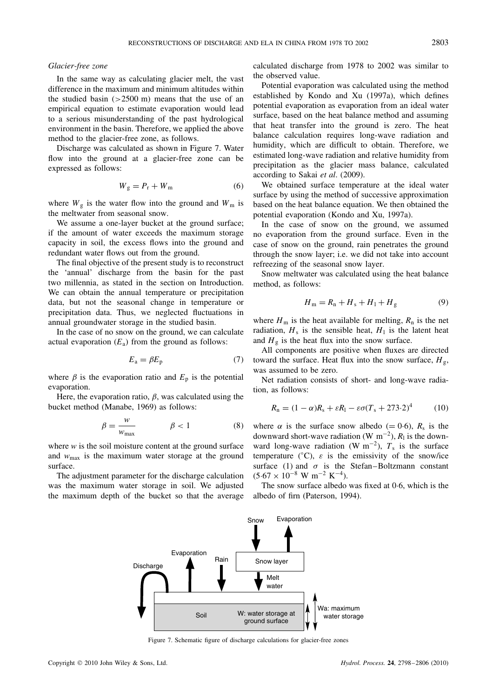## *Glacier-free zone*

In the same way as calculating glacier melt, the vast difference in the maximum and minimum altitudes within the studied basin  $(>2500 \text{ m})$  means that the use of an empirical equation to estimate evaporation would lead to a serious misunderstanding of the past hydrological environment in the basin. Therefore, we applied the above method to the glacier-free zone, as follows.

Discharge was calculated as shown in Figure 7. Water flow into the ground at a glacier-free zone can be expressed as follows:

$$
W_{\rm g} = P_{\rm r} + W_{\rm m} \tag{6}
$$

where  $W_{\rm g}$  is the water flow into the ground and  $W_{\rm m}$  is the meltwater from seasonal snow.

We assume a one-layer bucket at the ground surface; if the amount of water exceeds the maximum storage capacity in soil, the excess flows into the ground and redundant water flows out from the ground.

The final objective of the present study is to reconstruct the 'annual' discharge from the basin for the past two millennia, as stated in the section on Introduction. We can obtain the annual temperature or precipitation data, but not the seasonal change in temperature or precipitation data. Thus, we neglected fluctuations in annual groundwater storage in the studied basin.

In the case of no snow on the ground, we can calculate actual evaporation  $(E_a)$  from the ground as follows:

$$
E_{\rm a} = \beta E_{\rm p} \tag{7}
$$

where  $\beta$  is the evaporation ratio and  $E_p$  is the potential evaporation.

Here, the evaporation ratio,  $\beta$ , was calculated using the bucket method (Manabe, 1969) as follows:

$$
\beta = \frac{w}{w_{\text{max}}} \qquad \beta < 1 \tag{8}
$$

where  $w$  is the soil moisture content at the ground surface and  $w_{\text{max}}$  is the maximum water storage at the ground surface.

The adjustment parameter for the discharge calculation was the maximum water storage in soil. We adjusted the maximum depth of the bucket so that the average calculated discharge from 1978 to 2002 was similar to the observed value.

Potential evaporation was calculated using the method established by Kondo and Xu (1997a), which defines potential evaporation as evaporation from an ideal water surface, based on the heat balance method and assuming that heat transfer into the ground is zero. The heat balance calculation requires long-wave radiation and humidity, which are difficult to obtain. Therefore, we estimated long-wave radiation and relative humidity from precipitation as the glacier mass balance, calculated according to Sakai *et al*. (2009).

We obtained surface temperature at the ideal water surface by using the method of successive approximation based on the heat balance equation. We then obtained the potential evaporation (Kondo and Xu, 1997a).

In the case of snow on the ground, we assumed no evaporation from the ground surface. Even in the case of snow on the ground, rain penetrates the ground through the snow layer; i.e. we did not take into account refreezing of the seasonal snow layer.

Snow meltwater was calculated using the heat balance method, as follows:

$$
H_{\rm m} = R_{\rm n} + H_{\rm s} + H_1 + H_{\rm g} \tag{9}
$$

where  $H<sub>m</sub>$  is the heat available for melting,  $R<sub>n</sub>$  is the net radiation,  $H_s$  is the sensible heat,  $H_1$  is the latent heat and  $H<sub>g</sub>$  is the heat flux into the snow surface.

All components are positive when fluxes are directed toward the surface. Heat flux into the snow surface,  $H<sub>g</sub>$ , was assumed to be zero.

Net radiation consists of short- and long-wave radiation, as follows:

$$
R_{\rm n} = (1 - \alpha)R_{\rm s} + \varepsilon R_{\rm l} - \varepsilon \sigma (T_{\rm s} + 273.2)^4 \tag{10}
$$

where  $\alpha$  is the surface snow albedo (= 0.6),  $R_s$  is the downward short-wave radiation (W m<sup>-2</sup>),  $R_1$  is the downward long-wave radiation (W m<sup>-2</sup>),  $T_s$  is the surface temperature ( $^{\circ}$ C),  $\varepsilon$  is the emissivity of the snow/ice surface (1) and  $\sigma$  is the Stefan–Boltzmann constant  $(5.67 \times 10^{-8} \text{ W m}^{-2} \text{ K}^{-4}).$ 

The snow surface albedo was fixed at  $0.6$ , which is the albedo of firn (Paterson, 1994).



Figure 7. Schematic figure of discharge calculations for glacier-free zones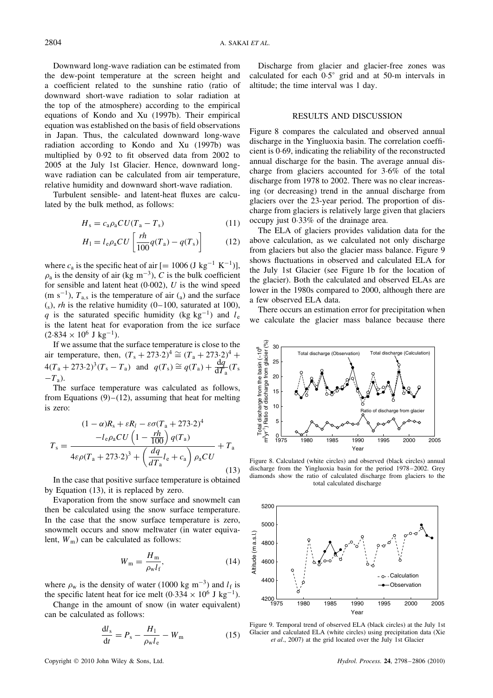Downward long-wave radiation can be estimated from the dew-point temperature at the screen height and a coefficient related to the sunshine ratio (ratio of downward short-wave radiation to solar radiation at the top of the atmosphere) according to the empirical equations of Kondo and Xu (1997b). Their empirical equation was established on the basis of field observations in Japan. Thus, the calculated downward long-wave radiation according to Kondo and Xu (1997b) was multiplied by 0.92 to fit observed data from 2002 to 2005 at the July 1st Glacier. Hence, downward longwave radiation can be calculated from air temperature, relative humidity and downward short-wave radiation.

Turbulent sensible- and latent-heat fluxes are calculated by the bulk method, as follows:

$$
H_s = c_a \rho_a C U (T_a - T_s) \tag{11}
$$

$$
H_1 = l_e \rho_a C U \left[ \frac{rh}{100} q(T_a) - q(T_s) \right] \tag{12}
$$

where  $c_a$  is the specific heat of air [= 1006 (J kg<sup>-1</sup> K<sup>-1</sup>)],  $\rho_a$  is the density of air (kg m<sup>-3</sup>), C is the bulk coefficient for sensible and latent heat  $(0.002)$ ,  $U$  is the wind speed  $(m s<sup>-1</sup>)$ ,  $T<sub>a s</sub>$  is the temperature of air  $\binom{a}{a}$  and the surface  $(s)$ , *rh* is the relative humidity (0–100, saturated at 100), q is the saturated specific humidity (kg kg<sup>-1</sup>) and  $l_e$ is the latent heat for evaporation from the ice surface  $(2.834 \times 10^6 \text{ J kg}^{-1}).$ 

If we assume that the surface temperature is close to the air temperature, then,  $(T_s + 273.2)^4 \cong (T_a + 273.2)^4 +$  $4(T_a + 273.2)^3 (T_s - T_a)$  and  $q(T_s) \cong q(T_a) + \frac{dq}{dT_a} (T_s)$  $-T_a$ ).

The surface temperature was calculated as follows, from Equations  $(9)$ – $(12)$ , assuming that heat for melting is zero:

$$
(1 - \alpha)R_{s} + \varepsilon R_{l} - \varepsilon \sigma (T_{a} + 273.2)^{4}
$$

$$
T_{s} = \frac{-l_{e}\rho_{a}CU\left(1 - \frac{rh}{100}\right)q(T_{a})}{4\varepsilon\rho(T_{a} + 273.2)^{3} + \left(\frac{dq}{dT_{a}}l_{e} + c_{a}\right)\rho_{a}CU} + T_{a}
$$
(13)

In the case that positive surface temperature is obtained by Equation (13), it is replaced by zero.

Evaporation from the snow surface and snowmelt can then be calculated using the snow surface temperature. In the case that the snow surface temperature is zero, snowmelt occurs and snow meltwater (in water equivalent,  $W_m$ ) can be calculated as follows:

$$
W_{\rm m} = \frac{H_{\rm m}}{\rho_{\rm w} l_{\rm f}},\tag{14}
$$

where  $\rho_w$  is the density of water (1000 kg m<sup>-3</sup>) and  $l_f$  is the specific latent heat for ice melt (0.334  $\times$  10<sup>6</sup> J kg<sup>-1</sup>).

Change in the amount of snow (in water equivalent) can be calculated as follows:

$$
\frac{\mathrm{d}l_s}{\mathrm{d}t} = P_s - \frac{H_1}{\rho_w l_e} - W_m \tag{15}
$$

Discharge from glacier and glacier-free zones was calculated for each  $0.5^{\circ}$  grid and at 50-m intervals in altitude; the time interval was 1 day.

#### RESULTS AND DISCUSSION

Figure 8 compares the calculated and observed annual discharge in the Yingluoxia basin. The correlation coefficient is 0.69, indicating the reliability of the reconstructed annual discharge for the basin. The average annual discharge from glaciers accounted for  $3.6\%$  of the total discharge from 1978 to 2002. There was no clear increasing (or decreasing) trend in the annual discharge from glaciers over the 23-year period. The proportion of discharge from glaciers is relatively large given that glaciers occupy just 0Ð33% of the drainage area.

The ELA of glaciers provides validation data for the above calculation, as we calculated not only discharge from glaciers but also the glacier mass balance. Figure 9 shows fluctuations in observed and calculated ELA for the July 1st Glacier (see Figure 1b for the location of the glacier). Both the calculated and observed ELAs are lower in the 1980s compared to 2000, although there are a few observed ELA data.

There occurs an estimation error for precipitation when we calculate the glacier mass balance because there



Figure 8. Calculated (white circles) and observed (black circles) annual discharge from the Yingluoxia basin for the period 1978–2002. Grey diamonds show the ratio of calculated discharge from glaciers to the total calculated discharge



Figure 9. Temporal trend of observed ELA (black circles) at the July 1st Glacier and calculated ELA (white circles) using precipitation data (Xie *et al*., 2007) at the grid located over the July 1st Glacier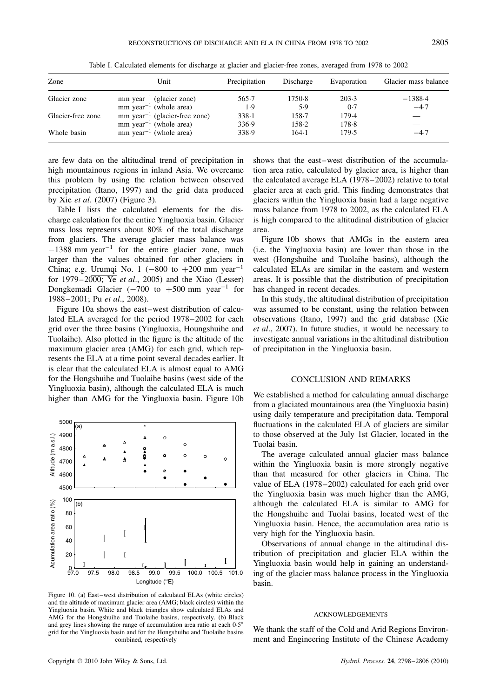| Zone              | Unit                                        | Precipitation | Discharge | Evaporation | Glacier mass balance |
|-------------------|---------------------------------------------|---------------|-----------|-------------|----------------------|
| Glacier zone      | $mm$ year <sup>-1</sup> (glacier zone)      | 565.7         | 1750.8    | 203.3       | $-1388.4$            |
|                   | $mm$ year <sup>-1</sup> (whole area)        | 1.9           | 5.9       | 0.7         | $-4.7$               |
| Glacier-free zone | $mm$ year <sup>-1</sup> (glacier-free zone) | 338.1         | 158.7     | 179.4       |                      |
|                   | $mm$ year <sup>-1</sup> (whole area)        | 336.9         | 158.2     | 178.8       |                      |
| Whole basin       | $mm$ year <sup>-1</sup> (whole area)        | 338.9         | $164-1$   | 179.5       | $-4.7$               |

Table I. Calculated elements for discharge at glacier and glacier-free zones, averaged from 1978 to 2002

are few data on the altitudinal trend of precipitation in high mountainous regions in inland Asia. We overcame this problem by using the relation between observed precipitation (Itano, 1997) and the grid data produced by Xie *et al*. (2007) (Figure 3).

Table I lists the calculated elements for the discharge calculation for the entire Yingluoxia basin. Glacier mass loss represents about 80% of the total discharge from glaciers. The average glacier mass balance was  $-1388$  mm year<sup>-1</sup> for the entire glacier zone, much larger than the values obtained for other glaciers in China; e.g. Urumqi No. 1  $(-800 \text{ to } +200 \text{ mm year}^{-1})$ for 1979–2000; Ye *et al*., 2005) and the Xiao (Lesser) Dongkemadi Glacier ( $-700$  to  $+500$  mm year<sup>-1</sup> for 1988–2001; Pu *et al*., 2008).

Figure 10a shows the east–west distribution of calculated ELA averaged for the period 1978–2002 for each grid over the three basins (Yingluoxia, Houngshuihe and Tuolaihe). Also plotted in the figure is the altitude of the maximum glacier area (AMG) for each grid, which represents the ELA at a time point several decades earlier. It is clear that the calculated ELA is almost equal to AMG for the Hongshuihe and Tuolaihe basins (west side of the Yingluoxia basin), although the calculated ELA is much higher than AMG for the Yingluoxia basin. Figure 10b



Figure 10. (a) East–west distribution of calculated ELAs (white circles) and the altitude of maximum glacier area (AMG; black circles) within the Yingluoxia basin. White and black triangles show calculated ELAs and AMG for the Hongshuihe and Tuolaihe basins, respectively. (b) Black and grey lines showing the range of accumulation area ratio at each  $0.5^\circ$ grid for the Yingluoxia basin and for the Hongshuihe and Tuolaihe basins combined, respectively

shows that the east–west distribution of the accumulation area ratio, calculated by glacier area, is higher than the calculated average ELA (1978–2002) relative to total glacier area at each grid. This finding demonstrates that glaciers within the Yingluoxia basin had a large negative mass balance from 1978 to 2002, as the calculated ELA is high compared to the altitudinal distribution of glacier area.

Figure 10b shows that AMGs in the eastern area (i.e. the Yingluoxia basin) are lower than those in the west (Hongshuihe and Tuolaihe basins), although the calculated ELAs are similar in the eastern and western areas. It is possible that the distribution of precipitation has changed in recent decades.

In this study, the altitudinal distribution of precipitation was assumed to be constant, using the relation between observations (Itano, 1997) and the grid database (Xie *et al*., 2007). In future studies, it would be necessary to investigate annual variations in the altitudinal distribution of precipitation in the Yingluoxia basin.

## CONCLUSION AND REMARKS

We established a method for calculating annual discharge from a glaciated mountainous area (the Yingluoxia basin) using daily temperature and precipitation data. Temporal fluctuations in the calculated ELA of glaciers are similar to those observed at the July 1st Glacier, located in the Tuolai basin.

The average calculated annual glacier mass balance within the Yingluoxia basin is more strongly negative than that measured for other glaciers in China. The value of ELA (1978–2002) calculated for each grid over the Yingluoxia basin was much higher than the AMG, although the calculated ELA is similar to AMG for the Hongshuihe and Tuolai basins, located west of the Yingluoxia basin. Hence, the accumulation area ratio is very high for the Yingluoxia basin.

Observations of annual change in the altitudinal distribution of precipitation and glacier ELA within the Yingluoxia basin would help in gaining an understanding of the glacier mass balance process in the Yingluoxia basin.

#### ACKNOWLEDGEMENTS

We thank the staff of the Cold and Arid Regions Environment and Engineering Institute of the Chinese Academy